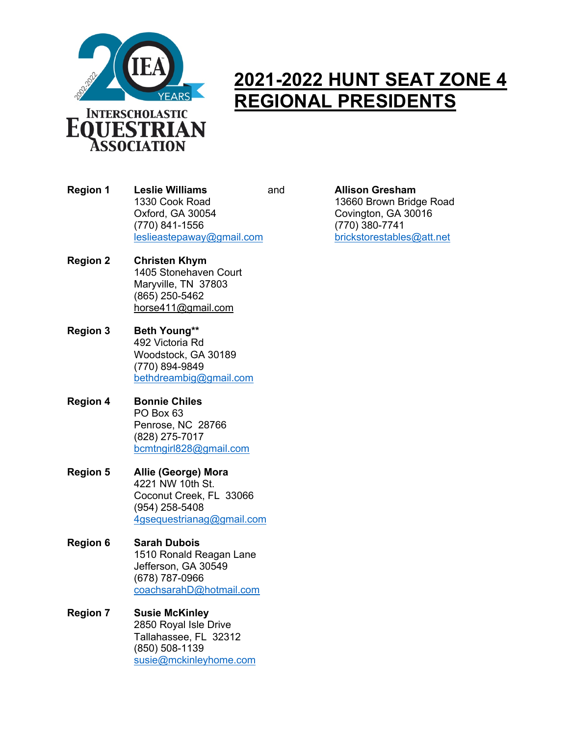

## **2021-2022 HUNT SEAT ZONE 4 REGIONAL PRESIDENTS**

**Region 1 Leslie Williams** and **Allison Gresham** 1330 Cook Road 13660 Brown Bridge Road Oxford, GA 30054 Covington, GA 30016 (770) 841-1556 (770) 380-7741 leslieastepaway@gmail.com brickstorestables@att.net

- **Region 2 Christen Khym** 1405 Stonehaven Court Maryville, TN 37803 (865) 250-5462 horse411@gmail.com
- **Region 3 Beth Young\*\*** 492 Victoria Rd Woodstock, GA 30189 (770) 894-9849 bethdreambig@gmail.com
- **Region 4 Bonnie Chiles** PO Box 63 Penrose, NC 28766 (828) 275-7017 bcmtngirl828@gmail.com
- **Region 5 Allie (George) Mora** 4221 NW 10th St. Coconut Creek, FL 33066 (954) 258-5408 4gsequestrianag@gmail.com
- **Region 6 Sarah Dubois** 1510 Ronald Reagan Lane Jefferson, GA 30549 (678) 787-0966 coachsarahD@hotmail.com
- **Region 7 Susie McKinley** 2850 Royal Isle Drive Tallahassee, FL 32312 (850) 508-1139 susie@mckinleyhome.com